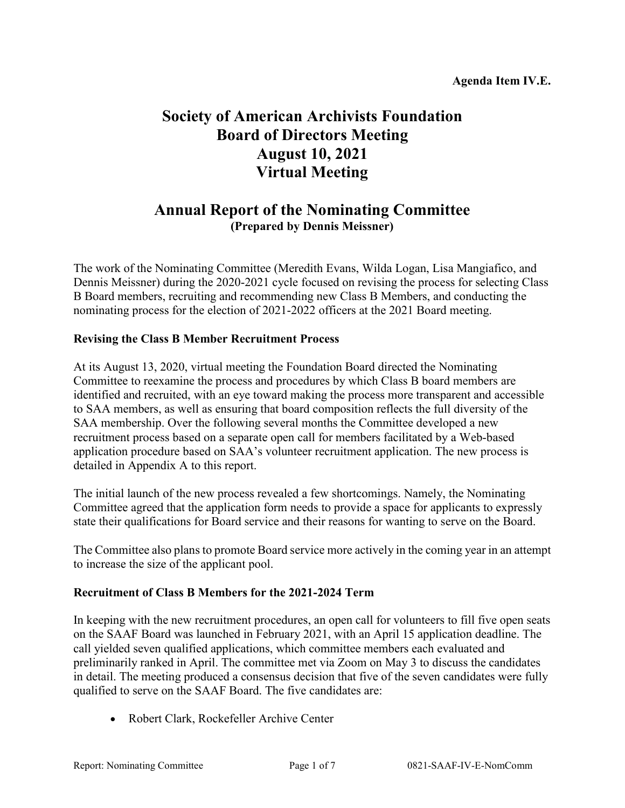# **Society of American Archivists Foundation Board of Directors Meeting August 10, 2021 Virtual Meeting**

# **Annual Report of the Nominating Committee (Prepared by Dennis Meissner)**

The work of the Nominating Committee (Meredith Evans, Wilda Logan, Lisa Mangiafico, and Dennis Meissner) during the 2020-2021 cycle focused on revising the process for selecting Class B Board members, recruiting and recommending new Class B Members, and conducting the nominating process for the election of 2021-2022 officers at the 2021 Board meeting.

### **Revising the Class B Member Recruitment Process**

At its August 13, 2020, virtual meeting the Foundation Board directed the Nominating Committee to reexamine the process and procedures by which Class B board members are identified and recruited, with an eye toward making the process more transparent and accessible to SAA members, as well as ensuring that board composition reflects the full diversity of the SAA membership. Over the following several months the Committee developed a new recruitment process based on a separate open call for members facilitated by a Web-based application procedure based on SAA's volunteer recruitment application. The new process is detailed in Appendix A to this report.

The initial launch of the new process revealed a few shortcomings. Namely, the Nominating Committee agreed that the application form needs to provide a space for applicants to expressly state their qualifications for Board service and their reasons for wanting to serve on the Board.

The Committee also plans to promote Board service more actively in the coming year in an attempt to increase the size of the applicant pool.

#### **Recruitment of Class B Members for the 2021-2024 Term**

In keeping with the new recruitment procedures, an open call for volunteers to fill five open seats on the SAAF Board was launched in February 2021, with an April 15 application deadline. The call yielded seven qualified applications, which committee members each evaluated and preliminarily ranked in April. The committee met via Zoom on May 3 to discuss the candidates in detail. The meeting produced a consensus decision that five of the seven candidates were fully qualified to serve on the SAAF Board. The five candidates are:

• Robert Clark, Rockefeller Archive Center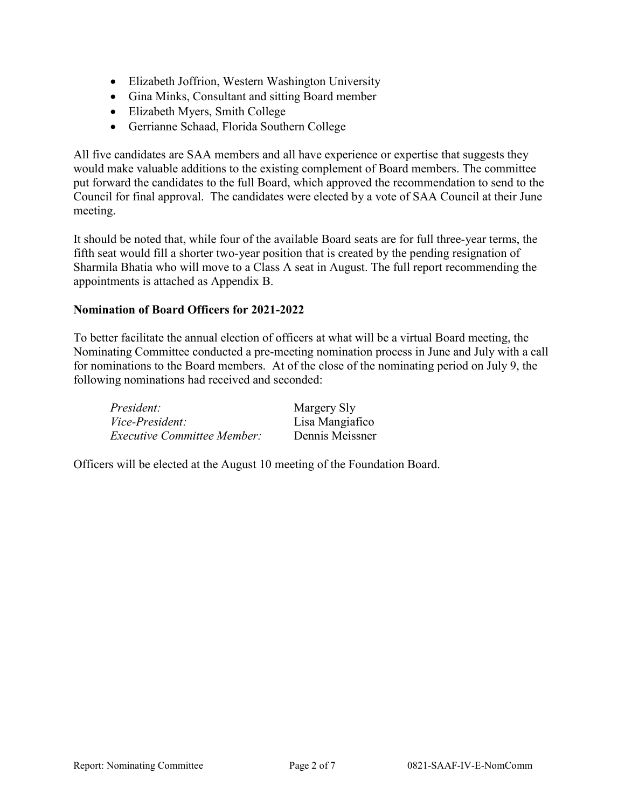- Elizabeth Joffrion, Western Washington University
- Gina Minks, Consultant and sitting Board member
- Elizabeth Myers, Smith College
- Gerrianne Schaad, Florida Southern College

All five candidates are SAA members and all have experience or expertise that suggests they would make valuable additions to the existing complement of Board members. The committee put forward the candidates to the full Board, which approved the recommendation to send to the Council for final approval. The candidates were elected by a vote of SAA Council at their June meeting.

It should be noted that, while four of the available Board seats are for full three-year terms, the fifth seat would fill a shorter two-year position that is created by the pending resignation of Sharmila Bhatia who will move to a Class A seat in August. The full report recommending the appointments is attached as Appendix B.

### **Nomination of Board Officers for 2021-2022**

To better facilitate the annual election of officers at what will be a virtual Board meeting, the Nominating Committee conducted a pre-meeting nomination process in June and July with a call for nominations to the Board members. At of the close of the nominating period on July 9, the following nominations had received and seconded:

| President:                         | Margery Sly     |
|------------------------------------|-----------------|
| <i>Vice-President:</i>             | Lisa Mangiafico |
| <i>Executive Committee Member:</i> | Dennis Meissner |

Officers will be elected at the August 10 meeting of the Foundation Board.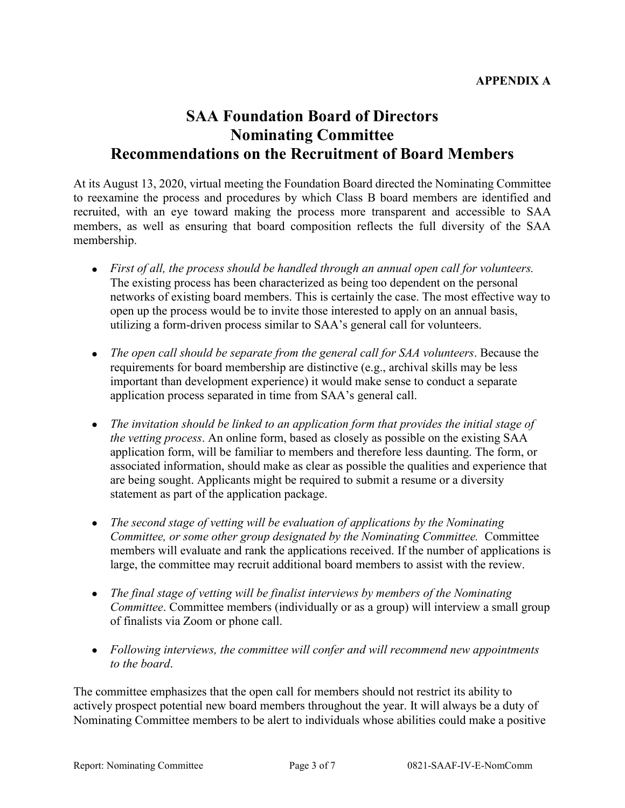# **SAA Foundation Board of Directors Nominating Committee Recommendations on the Recruitment of Board Members**

At its August 13, 2020, virtual meeting the Foundation Board directed the Nominating Committee to reexamine the process and procedures by which Class B board members are identified and recruited, with an eye toward making the process more transparent and accessible to SAA members, as well as ensuring that board composition reflects the full diversity of the SAA membership.

- *First of all, the process should be handled through an annual open call for volunteers.* The existing process has been characterized as being too dependent on the personal networks of existing board members. This is certainly the case. The most effective way to open up the process would be to invite those interested to apply on an annual basis, utilizing a form-driven process similar to SAA's general call for volunteers.
- *The open call should be separate from the general call for SAA volunteers*. Because the requirements for board membership are distinctive (e.g., archival skills may be less important than development experience) it would make sense to conduct a separate application process separated in time from SAA's general call.
- *The invitation should be linked to an application form that provides the initial stage of the vetting process*. An online form, based as closely as possible on the existing SAA application form, will be familiar to members and therefore less daunting. The form, or associated information, should make as clear as possible the qualities and experience that are being sought. Applicants might be required to submit a resume or a diversity statement as part of the application package.
- *The second stage of vetting will be evaluation of applications by the Nominating Committee, or some other group designated by the Nominating Committee.* Committee members will evaluate and rank the applications received. If the number of applications is large, the committee may recruit additional board members to assist with the review.
- *The final stage of vetting will be finalist interviews by members of the Nominating Committee*. Committee members (individually or as a group) will interview a small group of finalists via Zoom or phone call.
- *Following interviews, the committee will confer and will recommend new appointments to the board*.

The committee emphasizes that the open call for members should not restrict its ability to actively prospect potential new board members throughout the year. It will always be a duty of Nominating Committee members to be alert to individuals whose abilities could make a positive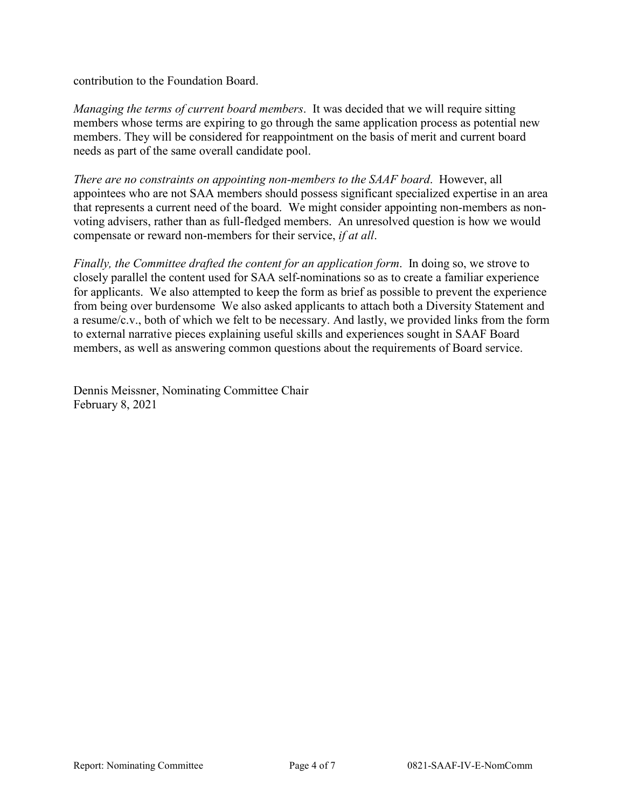contribution to the Foundation Board.

*Managing the terms of current board members*. It was decided that we will require sitting members whose terms are expiring to go through the same application process as potential new members. They will be considered for reappointment on the basis of merit and current board needs as part of the same overall candidate pool.

*There are no constraints on appointing non-members to the SAAF board*. However, all appointees who are not SAA members should possess significant specialized expertise in an area that represents a current need of the board. We might consider appointing non-members as nonvoting advisers, rather than as full-fledged members. An unresolved question is how we would compensate or reward non-members for their service, *if at all*.

*Finally, the Committee drafted the content for an application form*. In doing so, we strove to closely parallel the content used for SAA self-nominations so as to create a familiar experience for applicants. We also attempted to keep the form as brief as possible to prevent the experience from being over burdensome We also asked applicants to attach both a Diversity Statement and a resume/c.v., both of which we felt to be necessary. And lastly, we provided links from the form to external narrative pieces explaining useful skills and experiences sought in SAAF Board members, as well as answering common questions about the requirements of Board service.

Dennis Meissner, Nominating Committee Chair February 8, 2021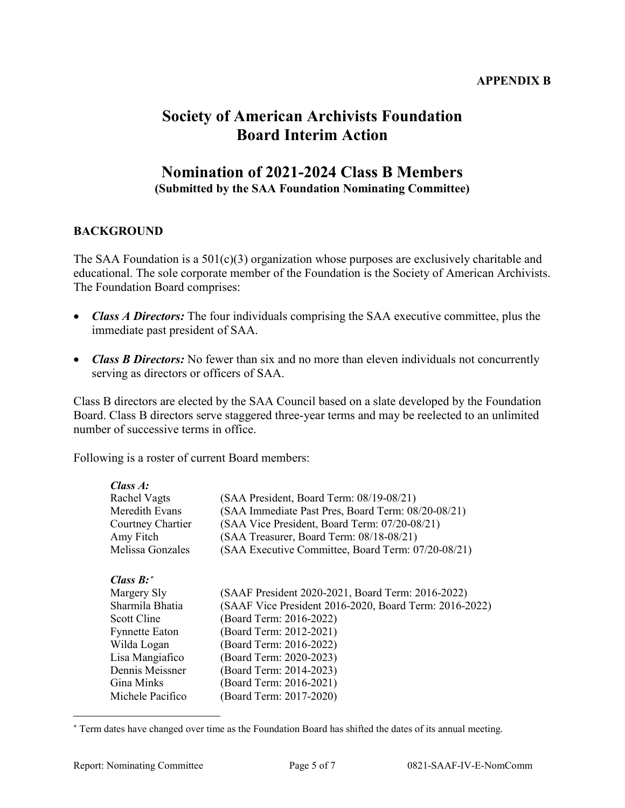### **APPENDIX B**

# **Society of American Archivists Foundation Board Interim Action**

# **Nomination of 2021-2024 Class B Members**

**(Submitted by the SAA Foundation Nominating Committee)**

# **BACKGROUND**

The SAA Foundation is a  $501(c)(3)$  organization whose purposes are exclusively charitable and educational. The sole corporate member of the Foundation is the Society of American Archivists. The Foundation Board comprises:

- *Class A Directors:* The four individuals comprising the SAA executive committee, plus the immediate past president of SAA.
- *Class B Directors:* No fewer than six and no more than eleven individuals not concurrently serving as directors or officers of SAA.

Class B directors are elected by the SAA Council based on a slate developed by the Foundation Board. Class B directors serve staggered three-year terms and may be reelected to an unlimited number of successive terms in office.

Following is a roster of current Board members:

| Class A:          |                                                        |  |
|-------------------|--------------------------------------------------------|--|
| Rachel Vagts      | (SAA President, Board Term: 08/19-08/21)               |  |
| Meredith Evans    | (SAA Immediate Past Pres, Board Term: 08/20-08/21)     |  |
| Courtney Chartier | (SAA Vice President, Board Term: 07/20-08/21)          |  |
| Amy Fitch         | (SAA Treasurer, Board Term: 08/18-08/21)               |  |
| Melissa Gonzales  | (SAA Executive Committee, Board Term: 07/20-08/21)     |  |
| Class $B$ :*      |                                                        |  |
| Margery Sly       | (SAAF President 2020-2021, Board Term: 2016-2022)      |  |
| Sharmila Bhatia   | (SAAF Vice President 2016-2020, Board Term: 2016-2022) |  |
| Scott Cline       | (Board Term: 2016-2022)                                |  |
| Fynnette Eaton    | (Board Term: 2012-2021)                                |  |
| Wilda Logan       | (Board Term: 2016-2022)                                |  |
| Lisa Mangiafico   | (Board Term: 2020-2023)                                |  |
| Dennis Meissner   | (Board Term: 2014-2023)                                |  |
| Gina Minks        | (Board Term: 2016-2021)                                |  |
| Michele Pacifico  | (Board Term: 2017-2020)                                |  |

<span id="page-4-0"></span><sup>∗</sup> Term dates have changed over time as the Foundation Board has shifted the dates of its annual meeting.

 $\overline{a}$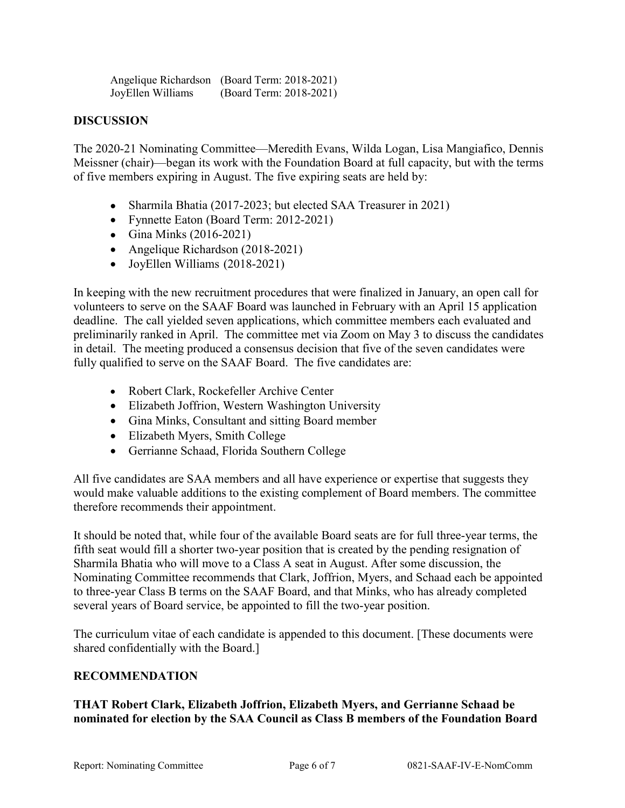|                   | Angelique Richardson (Board Term: 2018-2021) |
|-------------------|----------------------------------------------|
| JoyEllen Williams | (Board Term: 2018-2021)                      |

### **DISCUSSION**

The 2020-21 Nominating Committee—Meredith Evans, Wilda Logan, Lisa Mangiafico, Dennis Meissner (chair)—began its work with the Foundation Board at full capacity, but with the terms of five members expiring in August. The five expiring seats are held by:

- Sharmila Bhatia (2017-2023; but elected SAA Treasurer in 2021)
- Fynnette Eaton (Board Term: 2012-2021)
- Gina Minks (2016-2021)
- Angelique Richardson (2018-2021)
- JoyEllen Williams (2018-2021)

In keeping with the new recruitment procedures that were finalized in January, an open call for volunteers to serve on the SAAF Board was launched in February with an April 15 application deadline. The call yielded seven applications, which committee members each evaluated and preliminarily ranked in April. The committee met via Zoom on May 3 to discuss the candidates in detail. The meeting produced a consensus decision that five of the seven candidates were fully qualified to serve on the SAAF Board. The five candidates are:

- Robert Clark, Rockefeller Archive Center
- Elizabeth Joffrion, Western Washington University
- Gina Minks, Consultant and sitting Board member
- Elizabeth Myers, Smith College
- Gerrianne Schaad, Florida Southern College

All five candidates are SAA members and all have experience or expertise that suggests they would make valuable additions to the existing complement of Board members. The committee therefore recommends their appointment.

It should be noted that, while four of the available Board seats are for full three-year terms, the fifth seat would fill a shorter two-year position that is created by the pending resignation of Sharmila Bhatia who will move to a Class A seat in August. After some discussion, the Nominating Committee recommends that Clark, Joffrion, Myers, and Schaad each be appointed to three-year Class B terms on the SAAF Board, and that Minks, who has already completed several years of Board service, be appointed to fill the two-year position.

The curriculum vitae of each candidate is appended to this document. [These documents were shared confidentially with the Board.]

#### **RECOMMENDATION**

#### **THAT Robert Clark, Elizabeth Joffrion, Elizabeth Myers, and Gerrianne Schaad be nominated for election by the SAA Council as Class B members of the Foundation Board**